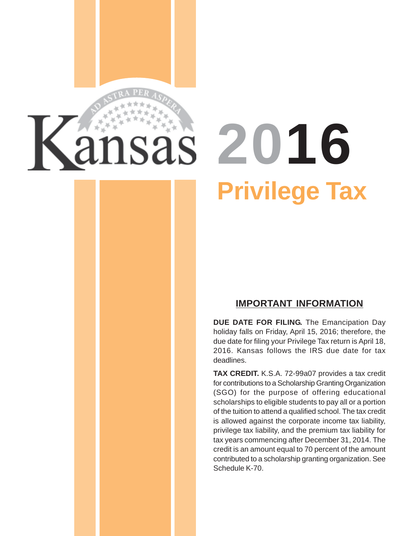# **2016 Privilege Tax**

## **IMPORTANT INFORMATION**

**DUE DATE FOR FILING.** The Emancipation Day holiday falls on Friday, April 15, 2016; therefore, the due date for filing your Privilege Tax return is April 18, 2016. Kansas follows the IRS due date for tax deadlines.

**TAX CREDIT.** K.S.A. 72-99a07 provides a tax credit for contributions to a Scholarship Granting Organization (SGO) for the purpose of offering educational scholarships to eligible students to pay all or a portion of the tuition to attend a qualified school. The tax credit is allowed against the corporate income tax liability, privilege tax liability, and the premium tax liability for tax years commencing after December 31, 2014. The credit is an amount equal to 70 percent of the amount contributed to a scholarship granting organization. See Schedule K-70.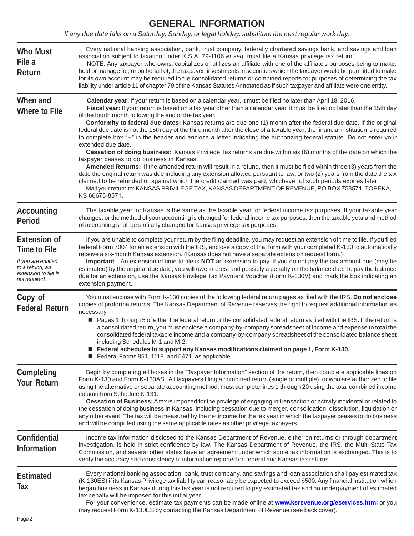## **GENERAL INFORMATION**

*If any due date falls on a Saturday, Sunday, or legal holiday, substitute the next regular work day.* 

| <b>Who Must</b><br>File a<br>Return                                                                                           | Every national banking association, bank, trust company, federally chartered savings bank, and savings and loan<br>association subject to taxation under K.S.A. 79-1106 et seq. must file a Kansas privilege tax return.<br>NOTE: Any taxpayer who owns, capitalizes or utilizes an affiliate with one of the affiliate's purposes being to make,<br>hold or manage for, or on behalf of, the taxpayer, investments in securities which the taxpayer would be permitted to make<br>for its own account may be required to file consolidated returns or combined reports for purposes of determining the tax<br>liability under article 11 of chapter 79 of the Kansas Statutes Annotated as if such taxpayer and affiliate were one entity.                                                                                                                                                                                                                                                                                                                                                                                                                                                                                                                                                                                                                          |
|-------------------------------------------------------------------------------------------------------------------------------|----------------------------------------------------------------------------------------------------------------------------------------------------------------------------------------------------------------------------------------------------------------------------------------------------------------------------------------------------------------------------------------------------------------------------------------------------------------------------------------------------------------------------------------------------------------------------------------------------------------------------------------------------------------------------------------------------------------------------------------------------------------------------------------------------------------------------------------------------------------------------------------------------------------------------------------------------------------------------------------------------------------------------------------------------------------------------------------------------------------------------------------------------------------------------------------------------------------------------------------------------------------------------------------------------------------------------------------------------------------------|
| When and<br><b>Where to File</b>                                                                                              | Calendar year: If your return is based on a calendar year, it must be filed no later than April 18, 2016.<br>Fiscal year: If your return is based on a tax year other than a calendar year, it must be filed no later than the 15th day<br>of the fourth month following the end of the tax year.<br>Conformity to federal due dates: Kansas returns are due one (1) month after the federal due date. If the original<br>federal due date is not the 15th day of the third month after the close of a taxable year, the financial institution is required<br>to complete box "H" in the header and enclose a letter indicating the authorizing federal statute. Do not enter your<br>extended due date.<br>Cessation of doing business: Kansas Privilege Tax returns are due within six (6) months of the date on which the<br>taxpayer ceases to do business in Kansas.<br>Amended Returns: If the amended return will result in a refund, then it must be filed within three (3) years from the<br>date the original return was due including any extension allowed pursuant to law, or two (2) years from the date the tax<br>claimed to be refunded or against which the credit claimed was paid, whichever of such periods expires later.<br>Mail your return to: KANSAS PRIVILEGE TAX, KANSAS DEPARTMENT OF REVENUE, PO BOX 758571, TOPEKA,<br>KS 66675-8571. |
| <b>Accounting</b><br><b>Period</b>                                                                                            | The taxable year for Kansas is the same as the taxable year for federal income tax purposes. If your taxable year<br>changes, or the method of your accounting is changed for federal income tax purposes, then the taxable year and method<br>of accounting shall be similarly changed for Kansas privilege tax purposes.                                                                                                                                                                                                                                                                                                                                                                                                                                                                                                                                                                                                                                                                                                                                                                                                                                                                                                                                                                                                                                           |
| <b>Extension of</b><br><b>Time to File</b><br>If you are entitled<br>to a refund, an<br>extension to file is<br>not required. | If you are unable to complete your return by the filing deadline, you may request an extension of time to file. If you filed<br>federal Form 7004 for an extension with the IRS, enclose a copy of that form with your completed K-130 to automatically<br>receive a six-month Kansas extension. (Kansas does not have a separate extension request form.)<br>Important—An extension of time to file is NOT an extension to pay. If you do not pay the tax amount due (may be<br>estimated) by the original due date, you will owe interest and possibly a penalty on the balance due. To pay the balance<br>due for an extension, use the Kansas Privilege Tax Payment Voucher (Form K-130V) and mark the box indicating an<br>extension payment.                                                                                                                                                                                                                                                                                                                                                                                                                                                                                                                                                                                                                   |
| Copy of<br><b>Federal Return</b>                                                                                              | You must enclose with Form K-130 copies of the following federal return pages as filed with the IRS. Do not enclose<br>copies of proforma returns. The Kansas Department of Revenue reserves the right to request additional information as<br>necessary.<br>■ Pages 1 through 5 of either the federal return or the consolidated federal return as filed with the IRS. If the return is<br>a consolidated return, you must enclose a company-by-company spreadsheet of income and expense to total the<br>consolidated federal taxable income and a company-by-company spreadsheet of the consolidated balance sheet<br>including Schedules M-1 and M-2.<br>Federal schedules to support any Kansas modifications claimed on page 1, Form K-130.<br>Federal Forms 851, 1118, and 5471, as applicable.                                                                                                                                                                                                                                                                                                                                                                                                                                                                                                                                                               |
| <b>Completing</b><br><b>Your Return</b>                                                                                       | Begin by completing all boxes in the "Taxpayer Information" section of the return, then complete applicable lines on<br>Form K-130 and Form K-130AS. All taxpayers filing a combined return (single or multiple), or who are authorized to file<br>using the alternative or separate accounting method, must complete lines 1 through 20 using the total combined income<br>column from Schedule K-131.<br>Cessation of Business: A tax is imposed for the privilege of engaging in transaction or activity incidental or related to<br>the cessation of doing business in Kansas, including cessation due to merger, consolidation, dissolution, liquidation or<br>any other event. The tax will be measured by the net income for the tax year in which the taxpayer ceases to do business<br>and will be computed using the same applicable rates as other privilege taxpayers.                                                                                                                                                                                                                                                                                                                                                                                                                                                                                   |
| <b>Confidential</b><br><b>Information</b>                                                                                     | Income tax information disclosed to the Kansas Department of Revenue, either on returns or through department<br>investigation, is held in strict confidence by law. The Kansas Department of Revenue, the IRS, the Multi-State Tax<br>Commission, and several other states have an agreement under which some tax information is exchanged. This is to<br>verify the accuracy and consistency of information reported on federal and Kansas tax returns.                                                                                                                                                                                                                                                                                                                                                                                                                                                                                                                                                                                                                                                                                                                                                                                                                                                                                                            |
| <b>Estimated</b><br>Tax<br>Page 2                                                                                             | Every national banking association, bank, trust company, and savings and loan association shall pay estimated tax<br>(K-130ES) if its Kansas Privilege tax liability can reasonably be expected to exceed \$500. Any financial institution which<br>began business in Kansas during this tax year is not required to pay estimated tax and no underpayment of estimated<br>tax penalty will be imposed for this initial year.<br>For your convenience, estimate tax payments can be made online at www.ksrevenue.org/eservices.html or you<br>may request Form K-130ES by contacting the Kansas Department of Revenue (see back cover).                                                                                                                                                                                                                                                                                                                                                                                                                                                                                                                                                                                                                                                                                                                              |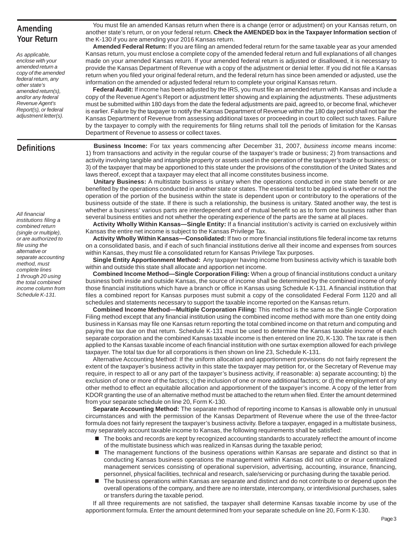## **Amending Your Return**

*As applicable, enclose with your amended return a copy of the amended federal return, any other state's amended return(s), and/or any federal Revenue Agent's Report(s), or federal adjustment letter(s).* 

#### **Definitions**

*All financial* 

Department of Revenue to assess or collect taxes. **Business Income:** For tax years commencing after December 31, 2007, *business income* means income: 1) from transactions and activity in the regular course of the taxpayer's trade or business; 2) from transactions and activity involving tangible and intangible property or assets used in the operation of the taxpayer's trade or business; or 3) of the taxpayer that may be apportioned to this state under the provisions of the constitution of the United States and laws thereof, except that a taxpayer may elect that all income constitutes business income.

You must file an amended Kansas return when there is a change (error or adjustment) on your Kansas return, on another state's return, or on your federal return. **Check the AMENDED box in the Taxpayer Information section** of

**Amended Federal Return:** If you are filing an amended federal return for the same taxable year as your amended Kansas return, you must enclose a complete copy of the amended federal return and full explanations of all changes made on your amended Kansas return. If your amended federal return is adjusted or disallowed, it is necessary to provide the Kansas Department of Revenue with a copy of the adjustment or denial letter. If you did not file a Kansas return when you filed your original federal return, and the federal return has since been amended or adjusted, use the

**Federal Audit:** If income has been adjusted by the IRS, you must file an amended return with Kansas and include a copy of the Revenue Agent's Report or adjustment letter showing and explaining the adjustments. These adjustments must be submitted within 180 days from the date the federal adjustments are paid, agreed to, or become final, whichever is earlier. Failure by the taxpayer to notify the Kansas Department of Revenue within the 180 day period shall not bar the Kansas Department of Revenue from assessing additional taxes or proceeding in court to collect such taxes. Failure by the taxpayer to comply with the requirements for filing returns shall toll the periods of limitation for the Kansas

information on the amended or adjusted federal return to complete your original Kansas return.

the K-130 if you are amending your 2016 Kansas return.

**Unitary Business:** A multistate business is unitary when the operations conducted in one state benefit or are benefited by the operations conducted in another state or states. The essential test to be applied is whether or not the operation of the portion of the business within the state is dependent upon or contributory to the operations of the business outside of the state. If there is such a relationship, the business is unitary. Stated another way, the test is whether a business' various parts are interdependent and of mutual benefit so as to form one business rather than several business entities and not whether the operating experience of the parts are the same at all places.

**Activity Wholly Within Kansas—Single Entity:** If a financial institution's activity is carried on exclusively within Kansas the entire net income is subject to the Kansas Privilege Tax.

**Activity Wholly Within Kansas—Consolidated:** If two or more financial institutions file federal income tax returns on a consolidated basis, and if each of such financial institutions derive all their income and expenses from sources within Kansas, they must file a consolidated return for Kansas Privilege Tax purposes.

**Single Entity Apportionment Method:** Any taxpayer having income from business activity which is taxable both within and outside this state shall allocate and apportion net income.

**Combined Income Method—Single Corporation Filing:** When a group of financial institutions conduct a unitary business both inside and outside Kansas, the source of income shall be determined by the combined income of only those financial institutions which have a branch or office in Kansas using Schedule K-131. A financial institution that files a combined report for Kansas purposes must submit a copy of the consolidated Federal Form 1120 and all schedules and statements necessary to support the taxable income reported on the Kansas return.

**Combined Income Method—Multiple Corporation Filing:** This method is the same as the Single Corporation Filing method except that any financial institution using the combined income method with more than one entity doing business in Kansas may file one Kansas return reporting the total combined income on that return and computing and paying the tax due on that return. Schedule K-131 must be used to determine the Kansas taxable income of each separate corporation and the combined Kansas taxable income is then entered on line 20, K-130. The tax rate is then applied to the Kansas taxable income of each financial institution with one surtax exemption allowed for each privilege taxpayer. The total tax due for all corporations is then shown on line 23, Schedule K-131.

Alternative Accounting Method: If the uniform allocation and apportionment provisions do not fairly represent the extent of the taxpayer's business activity in this state the taxpayer may petition for, or the Secretary of Revenue may require, in respect to all or any part of the taxpayer's business activity, if reasonable: a) separate accounting; b) the exclusion of one or more of the factors; c) the inclusion of one or more additional factors; or d) the employment of any other method to effect an equitable allocation and apportionment of the taxpayer's income. A copy of the letter from KDOR granting the use of an alternative method must be attached to the return when filed. Enter the amount determined from your separate schedule on line 20, Form K-130.

**Separate Accounting Method:** The separate method of reporting income to Kansas is allowable only in unusual circumstances and with the permission of the Kansas Department of Revenue where the use of the three-factor formula does not fairly represent the taxpayer's business activity. Before a taxpayer, engaged in a multistate business, may separately account taxable income to Kansas, the following requirements shall be satisfied:

- $\blacksquare$  The books and records are kept by recognized accounting standards to accurately reflect the amount of income of the multistate business which was realized in Kansas during the taxable period;
- The management functions of the business operations within Kansas are separate and distinct so that in conducting Kansas business operations the management within Kansas did not utilize or incur centralized management services consisting of operational supervision, advertising, accounting, insurance, financing, personnel, physical facilities, technical and research, sale/servicing or purchasing during the taxable period.
- The business operations within Kansas are separate and distinct and do not contribute to or depend upon the overall operations of the company, and there are no interstate, intercompany, or interdivisional purchases, sales or transfers during the taxable period.

If all three requirements are not satisfied, the taxpayer shall determine Kansas taxable income by use of the apportionment formula. Enter the amount determined from your separate schedule on line 20, Form K-130.

*institutions filing a combined return (single or multiple), or are authorized to file using the alternative or separate accounting method, must complete lines 1 through 20 using the total combined income column from Schedule K-131.*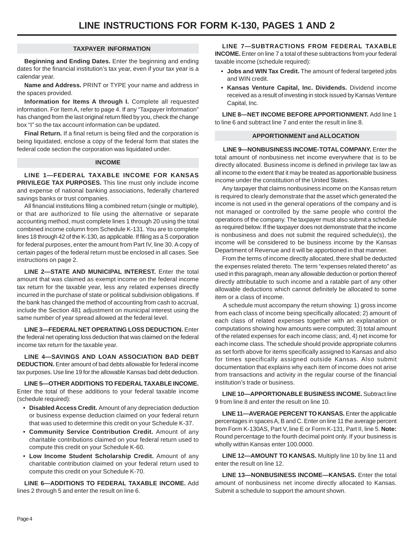#### **TAXPAYER INFORMATION**

**Beginning and Ending Dates.** Enter the beginning and ending dates for the financial institution's tax year, even if your tax year is a calendar year.

**Name and Address.** PRINT or TYPE your name and address in the spaces provided.

**Information for Items A through I.** Complete all requested information. For Item A, refer to page 4. If any "Taxpayer Information" has changed from the last original return filed by you, check the change box "I" so the tax account information can be updated.

**Final Return.** If a final return is being filed and the corporation is being liquidated, enclose a copy of the federal form that states the federal code section the corporation was liquidated under.

#### **INCOME**

**LINE 1—FEDERAL TAXABLE INCOME FOR KANSAS PRIVILEGE TAX PURPOSES.** This line must only include income and expense of national banking associations, federally chartered savings banks or trust companies.

All financial institutions filing a combined return (single or multiple), or that are authorized to file using the alternative or separate accounting method, must complete lines 1 through 20 using the total combined income column from Schedule K-131. You are to complete lines 18 through 42 of the K-130, as applicable. If filing as a S corporation for federal purposes, enter the amount from Part IV, line 30. A copy of certain pages of the federal return must be enclosed in all cases. See instructions on page 2.

**LINE 2—STATE AND MUNICIPAL INTEREST.** Enter the total amount that was claimed as exempt income on the federal income tax return for the taxable year, less any related expenses directly incurred in the purchase of state or political subdivision obligations. If the bank has changed the method of accounting from cash to accrual, include the Section 481 adjustment on municipal interest using the same number of year spread allowed at the federal level.

**LINE 3—FEDERAL NET OPERATING LOSS DEDUCTION.** Enter the federal net operating loss deduction that was claimed on the federal income tax return for the taxable year.

**LINE 4—SAVINGS AND LOAN ASSOCIATION BAD DEBT DEDUCTION.** Enter amount of bad debts allowable for federal income tax purposes. Use line 19 for the allowable Kansas bad debt deduction.

**LINE 5—OTHER ADDITIONS TO FEDERAL TAXABLE INCOME.**  Enter the total of these additions to your federal taxable income (schedule required):

- **Disabled Access Credit.** Amount of any depreciation deduction or business expense deduction claimed on your federal return that was used to determine this credit on your Schedule K-37.
- **• Community Service Contribution Credit.** Amount of any charitable contributions claimed on your federal return used to compute this credit on your Schedule K-60.
- **• Low Income Student Scholarship Credit.** Amount of any charitable contribution claimed on your federal return used to compute this credit on your Schedule K-70.

**LINE 6—ADDITIONS TO FEDERAL TAXABLE INCOME.** Add lines 2 through 5 and enter the result on line 6.

**LINE 7—SUBTRACTIONS FROM FEDERAL TAXABLE INCOME.** Enter on line 7 a total of these subtractions from your federal taxable income (schedule required):

- **• Jobs and WIN Tax Credit.** The amount of federal targeted jobs and WIN credit.
- **• Kansas Venture Capital, Inc. Dividends.** Dividend income received as a result of investing in stock issued by Kansas Venture Capital, Inc.

**LINE 8—NET INCOME BEFORE APPORTIONMENT.** Add line 1 to line 6 and subtract line 7 and enter the result in line 8.

#### **APPORTIONMENT and ALLOCATION**

**LINE 9—NONBUSINESS INCOME-TOTAL COMPANY.** Enter the total amount of nonbusiness net income everywhere that is to be directly allocated. Business income is defined in privilege tax law as all income to the extent that it may be treated as apportionable business income under the constitution of the United States.

Any taxpayer that claims nonbusiness income on the Kansas return is required to clearly demonstrate that the asset which generated the income is not used in the general operations of the company and is not managed or controlled by the same people who control the operations of the company. The taxpayer must also submit a schedule as required below. If the taxpayer does not demonstrate that the income is nonbusiness and does not submit the required schedule(s), the income will be considered to be business income by the Kansas Department of Revenue and it will be apportioned in that manner.

From the terms of income directly allocated, there shall be deducted the expenses related thereto. The term "expenses related thereto" as used in this paragraph, mean any allowable deduction or portion thereof directly attributable to such income and a ratable part of any other allowable deductions which cannot definitely be allocated to some item or a class of income.

A schedule must accompany the return showing: 1) gross income from each class of income being specifically allocated; 2) amount of each class of related expenses together with an explanation or computations showing how amounts were computed; 3) total amount of the related expenses for each income class; and, 4) net income for each income class. The schedule should provide appropriate columns as set forth above for items specifically assigned to Kansas and also for times specifically assigned outside Kansas. Also submit documentation that explains why each item of income does not arise from transactions and activity in the regular course of the financial institution's trade or business.

**LINE 10—APPORTIONABLE BUSINESS INCOME.** Subtract line 9 from line 8 and enter the result on line 10.

**LINE 11—AVERAGE PERCENT TO KANSAS.** Enter the applicable percentages in spaces A, B and C. Enter on line 11 the average percent from Form K-130AS, Part V, line E or Form K-131, Part II, line 5. **Note:**  Round percentage to the fourth decimal point only. If your business is wholly within Kansas enter 100.0000.

**LINE 12—AMOUNT TO KANSAS.** Multiply line 10 by line 11 and enter the result on line 12.

**LINE 13—NONBUSINESS INCOME—KANSAS.** Enter the total amount of nonbusiness net income directly allocated to Kansas. Submit a schedule to support the amount shown.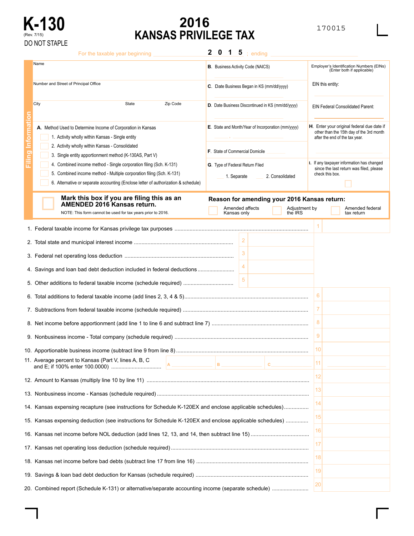

## **K-130 2016** <sup>170015</sup> **KANSAS PRIVILEGE TAX**

|        | For the taxable year beginning                                                                                                                                                                                                                                                                                                                                                                                                                                    | $\mathbf{2}$<br>$\mathbf 0$<br>$\vert$ 1<br>$\overline{\mathbf{5}}$ ; ending                                                                                                                                                                                                                                                                                                                              |
|--------|-------------------------------------------------------------------------------------------------------------------------------------------------------------------------------------------------------------------------------------------------------------------------------------------------------------------------------------------------------------------------------------------------------------------------------------------------------------------|-----------------------------------------------------------------------------------------------------------------------------------------------------------------------------------------------------------------------------------------------------------------------------------------------------------------------------------------------------------------------------------------------------------|
|        | Name                                                                                                                                                                                                                                                                                                                                                                                                                                                              | Employer's Identification Numbers (EINs)<br><b>B.</b> Business Activity Code (NAICS)<br>(Enter both if applicable)                                                                                                                                                                                                                                                                                        |
|        | Number and Street of Principal Office                                                                                                                                                                                                                                                                                                                                                                                                                             | EIN this entity:<br>C. Date Business Began in KS (mm/dd/yyyy)                                                                                                                                                                                                                                                                                                                                             |
|        | City<br>Zip Code<br>State                                                                                                                                                                                                                                                                                                                                                                                                                                         | D. Date Business Discontinued in KS (mm/dd/yyyy)<br><b>EIN Federal Consolidated Parent:</b>                                                                                                                                                                                                                                                                                                               |
| Ċ<br>g | A. Method Used to Determine Income of Corporation in Kansas<br>1. Activity wholly within Kansas - Single entity<br>2. Activity wholly within Kansas - Consolidated<br>3. Single entity apportionment method (K-130AS, Part V)<br>4. Combined income method - Single corporation filing (Sch. K-131)<br>5. Combined income method - Multiple corporation filing (Sch. K-131)<br>6. Alternative or separate accounting (Enclose letter of authorization & schedule) | H. Enter your original federal due date if<br>E. State and Month/Year of Incorporation (mm/yyyy)<br>other than the 15th day of the 3rd month<br>after the end of the tax year.<br><b>F.</b> State of Commercial Domicile<br>I. If any taxpayer information has changed<br>G. Type of Federal Return Filed<br>since the last return was filed, please<br>check this box.<br>2. Consolidated<br>1. Separate |
|        | Mark this box if you are filing this as an<br><b>AMENDED 2016 Kansas return.</b><br>NOTE: This form cannot be used for tax years prior to 2016.                                                                                                                                                                                                                                                                                                                   | Reason for amending your 2016 Kansas return:<br>Amended affects<br>Adjustment by<br>Amended federal<br>Kansas only<br>the IRS<br>tax return                                                                                                                                                                                                                                                               |
|        |                                                                                                                                                                                                                                                                                                                                                                                                                                                                   |                                                                                                                                                                                                                                                                                                                                                                                                           |
|        |                                                                                                                                                                                                                                                                                                                                                                                                                                                                   | 2                                                                                                                                                                                                                                                                                                                                                                                                         |
|        |                                                                                                                                                                                                                                                                                                                                                                                                                                                                   |                                                                                                                                                                                                                                                                                                                                                                                                           |
|        |                                                                                                                                                                                                                                                                                                                                                                                                                                                                   |                                                                                                                                                                                                                                                                                                                                                                                                           |
|        | 4. Savings and loan bad debt deduction included in federal deductions                                                                                                                                                                                                                                                                                                                                                                                             |                                                                                                                                                                                                                                                                                                                                                                                                           |
|        | 5. Other additions to federal taxable income (schedule required)                                                                                                                                                                                                                                                                                                                                                                                                  | 5                                                                                                                                                                                                                                                                                                                                                                                                         |
|        |                                                                                                                                                                                                                                                                                                                                                                                                                                                                   | 6                                                                                                                                                                                                                                                                                                                                                                                                         |
|        |                                                                                                                                                                                                                                                                                                                                                                                                                                                                   | 7                                                                                                                                                                                                                                                                                                                                                                                                         |
|        |                                                                                                                                                                                                                                                                                                                                                                                                                                                                   | 8                                                                                                                                                                                                                                                                                                                                                                                                         |
|        |                                                                                                                                                                                                                                                                                                                                                                                                                                                                   | 9                                                                                                                                                                                                                                                                                                                                                                                                         |
|        |                                                                                                                                                                                                                                                                                                                                                                                                                                                                   |                                                                                                                                                                                                                                                                                                                                                                                                           |
|        | 11. Average percent to Kansas (Part V, lines A, B, C                                                                                                                                                                                                                                                                                                                                                                                                              | 10                                                                                                                                                                                                                                                                                                                                                                                                        |
|        |                                                                                                                                                                                                                                                                                                                                                                                                                                                                   | 11<br>$\, {\bf B} \,$<br>c.                                                                                                                                                                                                                                                                                                                                                                               |
|        |                                                                                                                                                                                                                                                                                                                                                                                                                                                                   | 12                                                                                                                                                                                                                                                                                                                                                                                                        |
|        |                                                                                                                                                                                                                                                                                                                                                                                                                                                                   | 13                                                                                                                                                                                                                                                                                                                                                                                                        |
|        | 14. Kansas expensing recapture (see instructions for Schedule K-120EX and enclose applicable schedules)                                                                                                                                                                                                                                                                                                                                                           | 14                                                                                                                                                                                                                                                                                                                                                                                                        |
|        |                                                                                                                                                                                                                                                                                                                                                                                                                                                                   | 15                                                                                                                                                                                                                                                                                                                                                                                                        |
|        | 15. Kansas expensing deduction (see instructions for Schedule K-120EX and enclose applicable schedules)                                                                                                                                                                                                                                                                                                                                                           | 16                                                                                                                                                                                                                                                                                                                                                                                                        |
|        |                                                                                                                                                                                                                                                                                                                                                                                                                                                                   | 17                                                                                                                                                                                                                                                                                                                                                                                                        |
|        |                                                                                                                                                                                                                                                                                                                                                                                                                                                                   |                                                                                                                                                                                                                                                                                                                                                                                                           |
|        |                                                                                                                                                                                                                                                                                                                                                                                                                                                                   | 18                                                                                                                                                                                                                                                                                                                                                                                                        |
|        |                                                                                                                                                                                                                                                                                                                                                                                                                                                                   | 19                                                                                                                                                                                                                                                                                                                                                                                                        |
|        |                                                                                                                                                                                                                                                                                                                                                                                                                                                                   | 20                                                                                                                                                                                                                                                                                                                                                                                                        |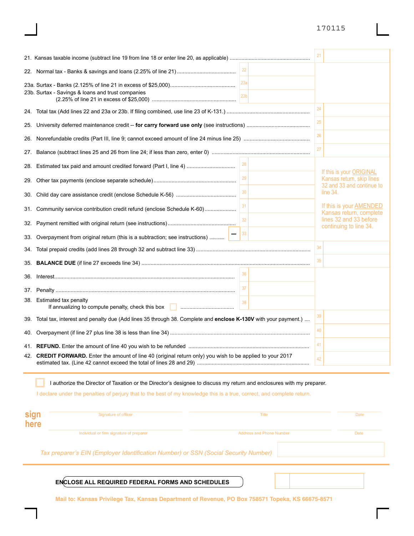|                                                                                                                   |             | 21 |                                                           |
|-------------------------------------------------------------------------------------------------------------------|-------------|----|-----------------------------------------------------------|
|                                                                                                                   |             |    |                                                           |
| 23b. Surtax - Savings & loans and trust companies                                                                 | 23a<br> 23b |    |                                                           |
|                                                                                                                   |             | 24 |                                                           |
|                                                                                                                   |             | 25 |                                                           |
|                                                                                                                   |             | 26 |                                                           |
|                                                                                                                   |             | 27 |                                                           |
| 28. Estimated tax paid and amount credited forward (Part I, line 4)                                               |             |    | If this is your ORIGINAL                                  |
|                                                                                                                   | 29          |    | Kansas return, skip lines<br>32 and 33 and continue to    |
|                                                                                                                   | 30          |    | line 34.                                                  |
| 31. Community service contribution credit refund (enclose Schedule K-60)                                          | 31          |    | If this is your <b>AMENDED</b><br>Kansas return, complete |
|                                                                                                                   | 32          |    | lines 32 and 33 before<br>continuing to line 34.          |
| 33. Overpayment from original return (this is a subtraction; see instructions)                                    | 33          |    |                                                           |
|                                                                                                                   |             | 34 |                                                           |
|                                                                                                                   |             | 35 |                                                           |
|                                                                                                                   | 36          |    |                                                           |
|                                                                                                                   |             |    |                                                           |
| 38. Estimated tax penalty<br>If annualizing to compute penalty, check this box <b>Communication</b> materials.    | 38          |    |                                                           |
| 39. Total tax, interest and penalty due (Add lines 35 through 38. Complete and enclose K-130V with your payment.) |             | 39 |                                                           |
|                                                                                                                   |             | 40 |                                                           |
|                                                                                                                   |             | 41 |                                                           |
| 42. CREDIT FORWARD. Enter the amount of line 40 (original return only) you wish to be applied to your 2017        |             | 42 |                                                           |

I authorize the Director of Taxation or the Director's designee to discuss my return and enclosures with my preparer.

I declare under the penalties of perjury that to the best of my knowledge this is a true, correct, and complete return.

| sign<br>here | Signature of officer                                                                | Title                           | <b>Date</b> |
|--------------|-------------------------------------------------------------------------------------|---------------------------------|-------------|
|              | Individual or firm signature of preparer                                            | <b>Address and Phone Number</b> | Date        |
|              | Tax preparer's EIN (Employer Identification Number) or SSN (Social Security Number) |                                 |             |

**ENCLOSE ALL REQUIRED FEDERAL FORMS AND SCHEDULES** 

**Mail to: Kansas Privilege Tax, Kansas Department of Revenue, PO Box 758571 Topeka, KS 66675-8571**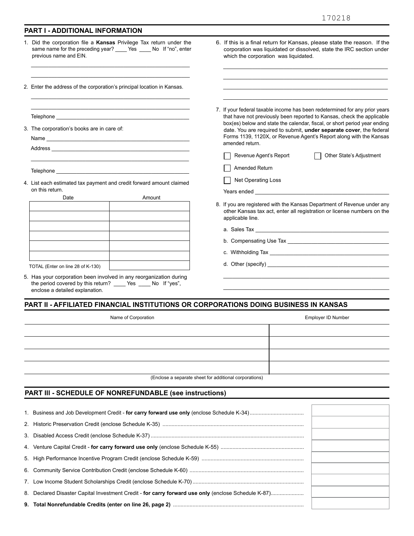\_\_\_\_\_\_\_\_\_\_\_\_\_\_\_\_\_\_\_\_\_\_\_\_\_\_\_\_\_\_\_\_\_\_\_\_\_\_\_\_\_\_\_\_\_\_\_\_\_\_\_\_\_\_\_\_\_ \_\_\_\_\_\_\_\_\_\_\_\_\_\_\_\_\_\_\_\_\_\_\_\_\_\_\_\_\_\_\_\_\_\_\_\_\_\_\_\_\_\_\_\_\_\_\_\_\_\_\_\_\_\_\_\_\_ \_\_\_\_\_\_\_\_\_\_\_\_\_\_\_\_\_\_\_\_\_\_\_\_\_\_\_\_\_\_\_\_\_\_\_\_\_\_\_\_\_\_\_\_\_\_\_\_\_\_\_\_\_\_\_\_\_ \_\_\_\_\_\_\_\_\_\_\_\_\_\_\_\_\_\_\_\_\_\_\_\_\_\_\_\_\_\_\_\_\_\_\_\_\_\_\_\_\_\_\_\_\_\_\_\_\_\_\_\_\_\_\_\_\_

7. If your federal taxable income has been redetermined for any prior years that have not previously been reported to Kansas, check the applicable box(es) below and state the calendar, fiscal, or short period year ending date. You are required to submit, **under separate cover**, the federal Forms 1139, 1120X, or Revenue Agent's Report along with the Kansas

Revenue Agent's Report <br>
T Other State's Adjustment

8. If you are registered with the Kansas Department of Revenue under any other Kansas tax act, enter all registration or license numbers on the

 \_\_\_\_\_\_\_\_\_\_\_\_\_\_\_\_\_\_\_\_\_\_\_\_\_\_\_\_\_\_\_\_\_\_\_\_\_\_\_\_\_\_\_\_\_\_\_\_\_\_\_\_\_\_\_\_ \_\_\_\_\_\_\_\_\_\_\_\_\_\_\_\_\_\_\_\_\_\_\_\_\_\_\_\_\_\_\_\_\_\_\_\_\_\_\_\_\_\_\_\_\_\_\_\_\_\_\_\_\_\_\_\_

b. Compensating Use Tax

6. If this is a final return for Kansas, please state the reason. If the corporation was liquidated or dissolved, state the IRC section under

which the corporation was liquidated.

amended return.

Years ended

applicable line. a. Sales Tax \_\_\_\_

c. Withholding Tax d. Other (specify) \_\_\_\_\_\_\_\_\_\_\_\_\_\_\_\_\_\_\_\_\_\_\_\_\_\_\_\_\_\_\_\_\_\_\_\_\_\_\_\_\_

Amended Return Net Operating Loss

#### **PART I - ADDITIONAL INFORMATION**

 same name for the preceding year? \_\_\_\_ Yes \_\_\_\_ No If "no", enter 1. Did the corporation file a **Kansas** Privilege Tax return under the previous name and EIN.

\_\_\_\_\_\_\_\_\_\_\_\_\_\_\_\_\_\_\_\_\_\_\_\_\_\_\_\_\_\_\_\_\_\_\_\_\_\_\_\_\_\_\_\_\_\_\_\_\_\_\_\_\_\_\_ \_\_\_\_\_\_\_\_\_\_\_\_\_\_\_\_\_\_\_\_\_\_\_\_\_\_\_\_\_\_\_\_\_\_\_\_\_\_\_\_\_\_\_\_\_\_\_\_\_\_\_\_\_\_\_

\_\_\_\_\_\_\_\_\_\_\_\_\_\_\_\_\_\_\_\_\_\_\_\_\_\_\_\_\_\_\_\_\_\_\_\_\_\_\_\_\_\_\_\_\_\_\_\_\_\_\_\_\_\_\_ \_\_\_\_\_\_\_\_\_\_\_\_\_\_\_\_\_\_\_\_\_\_\_\_\_\_\_\_\_\_\_\_\_\_\_\_\_\_\_\_\_\_\_\_\_\_\_\_\_\_\_\_\_\_\_

2. Enter the address of the corporation's principal location in Kansas.

Telephone

3. The corporation's books are in care of:

Name

Address \_\_\_\_\_\_\_\_\_\_\_\_\_\_\_\_\_\_\_\_\_\_\_\_\_\_\_\_\_\_\_\_\_\_\_\_\_\_\_\_\_\_\_\_\_\_\_

Telephone \_\_\_\_\_

4. List each estimated tax payment and credit forward amount claimed on this return.

\_\_\_\_\_\_\_\_\_\_\_\_\_\_\_\_\_\_\_\_\_\_\_\_\_\_\_\_\_\_\_\_\_\_\_\_\_\_\_\_\_\_\_\_\_\_\_\_\_\_\_\_\_\_\_

| Date                              | Amount |
|-----------------------------------|--------|
|                                   |        |
|                                   |        |
|                                   |        |
|                                   |        |
|                                   |        |
|                                   |        |
| TOTAL (Enter on line 28 of K-130) |        |
|                                   |        |

- 5. Has your corporation been involved in any reorganization during the period covered by this return? \_\_\_\_ Yes \_\_\_\_ No If "yes", enclose a detailed explanation.
- **PART II AFFILIATED FINANCIAL INSTITUTIONS OR CORPORATIONS DOING BUSINESS IN KANSAS**

| Name of Corporation                                                                                                                                                                                                              | Employer ID Number |
|----------------------------------------------------------------------------------------------------------------------------------------------------------------------------------------------------------------------------------|--------------------|
|                                                                                                                                                                                                                                  |                    |
|                                                                                                                                                                                                                                  |                    |
|                                                                                                                                                                                                                                  |                    |
|                                                                                                                                                                                                                                  |                    |
| $\frac{1}{2}$ , and the contract of the contract of the contract of the contract of the contract of the contract of the contract of the contract of the contract of the contract of the contract of the contract of the contract |                    |

(Enclose a separate sheet for additional corporations)

#### **PART Ill - SCHEDULE OF NONREFUNDABLE (see instructions)**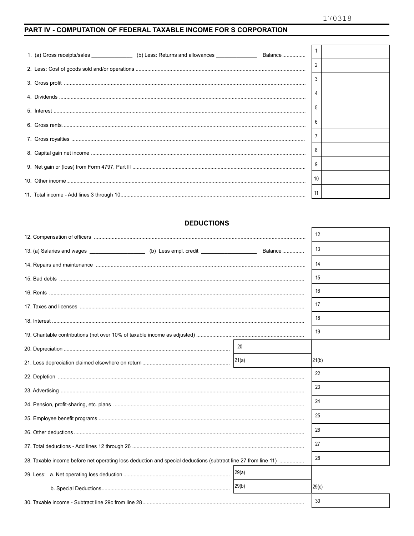#### PART IV - COMPUTATION OF FEDERAL TAXABLE INCOME FOR S CORPORATION

|                          | 3              |  |
|--------------------------|----------------|--|
|                          |                |  |
|                          |                |  |
| $6. Gross rents\n    0.$ | 6              |  |
|                          | $\overline{7}$ |  |
|                          |                |  |
|                          | 9              |  |
|                          | 10             |  |
|                          | 11             |  |

#### **DEDUCTIONS**

|                                                                                                               |       | 12    |  |
|---------------------------------------------------------------------------------------------------------------|-------|-------|--|
|                                                                                                               |       |       |  |
|                                                                                                               |       | 13    |  |
|                                                                                                               |       | 14    |  |
|                                                                                                               |       | 15    |  |
|                                                                                                               |       | 16    |  |
|                                                                                                               |       | 17    |  |
|                                                                                                               |       | 18    |  |
|                                                                                                               |       | 19    |  |
|                                                                                                               | 20    |       |  |
|                                                                                                               | 21(a) | 21(b) |  |
|                                                                                                               |       | 22    |  |
|                                                                                                               |       | 23    |  |
|                                                                                                               |       | 24    |  |
|                                                                                                               |       | 25    |  |
|                                                                                                               |       | 26    |  |
|                                                                                                               |       | 27    |  |
| 28. Taxable income before net operating loss deduction and special deductions (subtract line 27 from line 11) |       | 28    |  |
|                                                                                                               | 29(a) |       |  |
|                                                                                                               | 29(b) | 29(c) |  |
|                                                                                                               |       | 30    |  |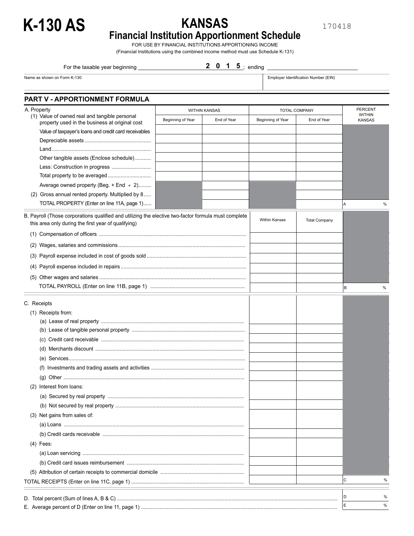

170418

## **Financial Institution Apportionment Schedule**

FOR USE BY FINANCIAL INSTITUTIONS APPORTIONING INCOME (Financial Institutions using the combined income method must use Schedule K-131)

2 0 1 5 j ending For the taxable year beginning \_\_\_\_\_\_\_\_\_\_\_\_\_\_\_\_\_\_\_\_\_\_\_\_\_\_\_\_\_\_\_\_\_\_\_; ending \_\_\_\_\_\_\_\_\_\_\_\_\_\_\_\_\_\_\_\_\_\_\_\_\_\_\_\_\_\_ **2 0 1 5** 

Name as shown on Form K-130 **Employer Identification Number (EIN)**<br>Name as shown on Form K-130

|  | Employer Identification Number (EIN |  |
|--|-------------------------------------|--|
|  |                                     |  |

| A. Property                                                                                                                                                 | <b>WITHIN KANSAS</b> |             | <b>TOTAL COMPANY</b> | <b>PERCENT</b>       |                                |   |
|-------------------------------------------------------------------------------------------------------------------------------------------------------------|----------------------|-------------|----------------------|----------------------|--------------------------------|---|
| (1) Value of owned real and tangible personal<br>property used in the business at original cost                                                             | Beginning of Year    | End of Year | Beginning of Year    | End of Year          | <b>WITHIN</b><br><b>KANSAS</b> |   |
| Value of taxpayer's loans and credit card receivables                                                                                                       |                      |             |                      |                      |                                |   |
|                                                                                                                                                             |                      |             |                      |                      |                                |   |
|                                                                                                                                                             |                      |             |                      |                      |                                |   |
| Other tangible assets (Enclose schedule)                                                                                                                    |                      |             |                      |                      |                                |   |
| Less: Construction in progress                                                                                                                              |                      |             |                      |                      |                                |   |
|                                                                                                                                                             |                      |             |                      |                      |                                |   |
| Average owned property (Beg. + End $\div$ 2)                                                                                                                |                      |             |                      |                      |                                |   |
| (2) Gross annual rented property. Multiplied by 8<br>TOTAL PROPERTY (Enter on line 11A, page 1)                                                             |                      |             |                      |                      | ΙA                             | % |
| B. Payroll (Those corporations qualified and utilizing the elective two-factor formula must complete<br>this area only during the first year of qualifying) |                      |             | Within Kansas        | <b>Total Company</b> |                                |   |
|                                                                                                                                                             |                      |             |                      |                      |                                |   |
|                                                                                                                                                             |                      |             |                      |                      |                                |   |
|                                                                                                                                                             |                      |             |                      |                      |                                |   |
|                                                                                                                                                             |                      |             |                      |                      |                                |   |
|                                                                                                                                                             |                      |             |                      |                      |                                |   |
|                                                                                                                                                             |                      |             |                      |                      | В                              | % |
| C. Receipts                                                                                                                                                 |                      |             |                      |                      |                                |   |
| (1) Receipts from:                                                                                                                                          |                      |             |                      |                      |                                |   |
|                                                                                                                                                             |                      |             |                      |                      |                                |   |
|                                                                                                                                                             |                      |             |                      |                      |                                |   |
|                                                                                                                                                             |                      |             |                      |                      |                                |   |
|                                                                                                                                                             |                      |             |                      |                      |                                |   |
|                                                                                                                                                             |                      |             |                      |                      |                                |   |
|                                                                                                                                                             |                      |             |                      |                      |                                |   |
|                                                                                                                                                             |                      |             |                      |                      |                                |   |
| (2) Interest from loans:                                                                                                                                    |                      |             |                      |                      |                                |   |
|                                                                                                                                                             |                      |             |                      |                      |                                |   |
|                                                                                                                                                             |                      |             |                      |                      |                                |   |
| (3) Net gains from sales of:                                                                                                                                |                      |             |                      |                      |                                |   |
|                                                                                                                                                             |                      |             |                      |                      |                                |   |
|                                                                                                                                                             |                      |             |                      |                      |                                |   |
| $(4)$ Fees:                                                                                                                                                 |                      |             |                      |                      |                                |   |
|                                                                                                                                                             |                      |             |                      |                      |                                |   |
|                                                                                                                                                             |                      |             |                      |                      |                                |   |
|                                                                                                                                                             |                      |             |                      |                      |                                |   |
|                                                                                                                                                             |                      |             |                      |                      | С                              | % |
|                                                                                                                                                             |                      |             |                      |                      | D                              | % |
|                                                                                                                                                             |                      |             |                      |                      | E                              | % |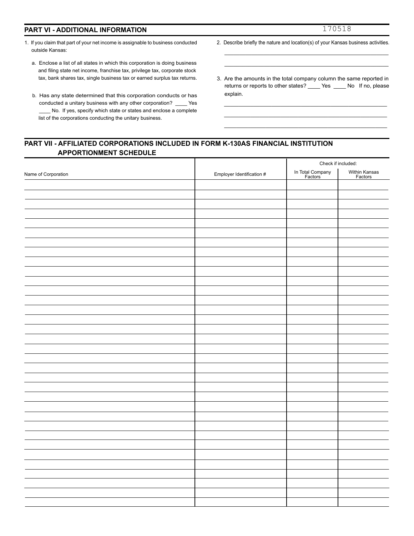#### **PART VI - ADDITIONAL INFORMATION**

- 1. If you claim that part of your net income is assignable to business conducted outside Kansas:
	- a. Enclose a list of all states in which this corporation is doing business and filing state net income, franchise tax, privilege tax, corporate stock tax, bank shares tax, single business tax or earned surplus tax returns.
	- b. Has any state determined that this corporation conducts or has conducted a unitary business with any other corporation? \_\_\_\_ Yes \_\_\_\_ No. If yes, specify which state or states and enclose a complete list of the corporations conducting the unitary business.
- 2. Describe briefly the nature and location(s) of your Kansas business activities. \_\_\_\_\_\_\_\_\_\_\_\_\_\_\_\_\_\_\_\_\_\_\_\_\_\_\_\_\_\_\_\_\_\_\_\_\_\_\_\_\_\_\_\_\_\_\_\_\_\_\_\_\_\_

\_\_\_\_\_\_\_\_\_\_\_\_\_\_\_\_\_\_\_\_\_\_\_\_\_\_\_\_\_\_\_\_\_\_\_\_\_\_\_\_\_\_\_\_\_\_\_\_\_\_\_\_\_\_

3. Are the amounts in the total company column the same reported in returns or reports to other states? \_\_\_\_ Yes \_\_\_\_ No If no, please explain.

\_\_\_\_\_\_\_\_\_\_\_\_\_\_\_\_\_\_\_\_\_\_\_\_\_\_\_\_\_\_\_\_\_\_\_\_\_\_\_\_\_\_\_\_\_\_\_\_\_\_\_\_\_\_\_ \_\_\_\_\_\_\_\_\_\_\_\_\_\_\_\_\_\_\_\_\_\_\_\_\_\_\_\_\_\_\_\_\_\_\_\_\_\_\_\_\_\_\_\_\_\_\_\_\_\_\_\_\_\_\_ \_\_\_\_\_\_\_\_\_\_\_\_\_\_\_\_\_\_\_\_\_\_\_\_\_\_\_\_\_\_\_\_\_\_\_\_\_\_\_\_\_\_\_\_\_\_\_\_\_\_\_\_\_\_\_

#### **PART VII - AFFILIATED CORPORATIONS INCLUDED IN FORM K-130AS FINANCIAL INSTITUTION APPORTIONMENT SCHEDULE**  Т

| In Total Company<br>Factors<br>Within Kansas<br>Factors<br>Employer Identification # |                     | Check if included: |  |
|--------------------------------------------------------------------------------------|---------------------|--------------------|--|
|                                                                                      | Name of Corporation |                    |  |
|                                                                                      |                     |                    |  |
|                                                                                      |                     |                    |  |
|                                                                                      |                     |                    |  |
|                                                                                      |                     |                    |  |
|                                                                                      |                     |                    |  |
|                                                                                      |                     |                    |  |
|                                                                                      |                     |                    |  |
|                                                                                      |                     |                    |  |
|                                                                                      |                     |                    |  |
|                                                                                      |                     |                    |  |
|                                                                                      |                     |                    |  |
|                                                                                      |                     |                    |  |
|                                                                                      |                     |                    |  |
|                                                                                      |                     |                    |  |
|                                                                                      |                     |                    |  |
|                                                                                      |                     |                    |  |
|                                                                                      |                     |                    |  |
|                                                                                      |                     |                    |  |
|                                                                                      |                     |                    |  |
|                                                                                      |                     |                    |  |
|                                                                                      |                     |                    |  |
|                                                                                      |                     |                    |  |
|                                                                                      |                     |                    |  |
|                                                                                      |                     |                    |  |
|                                                                                      |                     |                    |  |
|                                                                                      |                     |                    |  |
|                                                                                      |                     |                    |  |
|                                                                                      |                     |                    |  |
|                                                                                      |                     |                    |  |
|                                                                                      |                     |                    |  |
|                                                                                      |                     |                    |  |
|                                                                                      |                     |                    |  |
|                                                                                      |                     |                    |  |
|                                                                                      |                     |                    |  |
|                                                                                      |                     |                    |  |
|                                                                                      |                     |                    |  |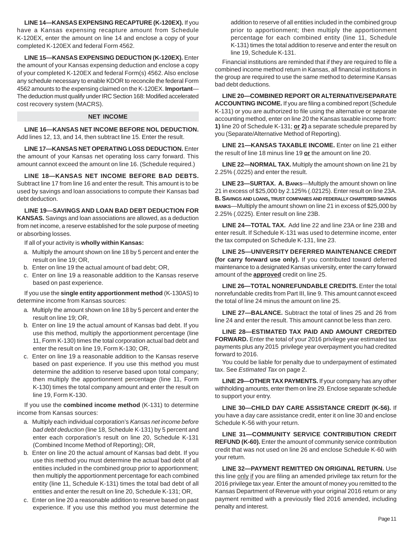**LINE 14—KANSAS EXPENSING RECAPTURE (K-120EX).** If you have a Kansas expensing recapture amount from Schedule K-120EX, enter the amount on line 14 and enclose a copy of your completed K-120EX and federal Form 4562.

**LINE 15—KANSAS EXPENSING DEDUCTION (K-120EX).** Enter the amount of your Kansas expensing deduction and enclose a copy of your completed K-120EX and federal Form(s) 4562. Also enclose any schedule necessary to enable KDOR to reconcile the federal Form 4562 amounts to the expensing claimed on the K-120EX. **Important**— The deduction must qualify under IRC Section 168: Modified accelerated cost recovery system (MACRS).

#### **NET INCOME**

**LINE 16—KANSAS NET INCOME BEFORE NOL DEDUCTION.**  Add lines 12, 13, and 14, then subtract line 15. Enter the result.

**LINE 17—KANSAS NET OPERATING LOSS DEDUCTION.** Enter the amount of your Kansas net operating loss carry forward. This amount cannot exceed the amount on line 16. (Schedule required.)

**LINE 18—KANSAS NET INCOME BEFORE BAD DEBTS.**  Subtract line 17 from line 16 and enter the result. This amount is to be used by savings and loan associations to compute their Kansas bad debt deduction.

**LINE 19—SAVINGS AND LOAN BAD DEBT DEDUCTION FOR KANSAS.** Savings and loan associations are allowed, as a deduction from net income, a reserve established for the sole purpose of meeting or absorbing losses.

If all of your activity is **wholly within Kansas:** 

- a. Multiply the amount shown on line 18 by 5 percent and enter the result on line 19; OR,
- b. Enter on line 19 the actual amount of bad debt; OR,
- c. Enter on line 19 a reasonable addition to the Kansas reserve based on past experience.

If you use the **single entity apportionment method** (K-130AS) to determine income from Kansas sources:

- a. Multiply the amount shown on line 18 by 5 percent and enter the result on line 19; OR,
- b. Enter on line 19 the actual amount of Kansas bad debt. If you use this method, multiply the apportionment percentage (line 11, Form K-130) times the total corporation actual bad debt and enter the result on line 19, Form K-130; OR,
- c. Enter on line 19 a reasonable addition to the Kansas reserve based on past experience. If you use this method you must determine the addition to reserve based upon total company; then multiply the apportionment percentage (line 11, Form K-130) times the total company amount and enter the result on line 19, Form K-130.

If you use the **combined income method** (K-131) to determine income from Kansas sources:

- a. Multiply each individual corporation's *Kansas net income before bad debt deduction* (line 18, Schedule K-131) by 5 percent and enter each corporation's result on line 20, Schedule K-131 (Combined Income Method of Reporting); OR,
- b. Enter on line 20 the actual amount of Kansas bad debt. If you use this method you must determine the actual bad debt of all entities included in the combined group prior to apportionment; then multiply the apportionment percentage for each combined entity (line 11, Schedule K-131) times the total bad debt of all entities and enter the result on line 20, Schedule K-131; OR,
- c. Enter on line 20 a reasonable addition to reserve based on past experience. If you use this method you must determine the

addition to reserve of all entities included in the combined group prior to apportionment; then multiply the apportionment percentage for each combined entity (line 11, Schedule K-131) times the total addition to reserve and enter the result on line 19, Schedule K-131.

Financial institutions are reminded that if they are required to file a combined income method return in Kansas, all financial institutions in the group are required to use the same method to determine Kansas bad debt deductions.

**LINE 20—COMBINED REPORT OR ALTERNATIVE/SEPARATE ACCOUNTING INCOME.** If you are filing a combined report (Schedule K-131) or you are authorized to file using the alternative or separate accounting method, enter on line 20 the Kansas taxable income from: **1)** line 20 of Schedule K-131; **or 2)** a separate schedule prepared by you (Separate/Alternative Method of Reporting).

**LINE 21—KANSAS TAXABLE INCOME.** Enter on line 21 either the result of line 18 minus line 19 **or** the amount on line 20.

**LINE 22—NORMAL TAX.** Multiply the amount shown on line 21 by 2.25% (.0225) and enter the result.

 **B. SAVINGS AND LOANS, TRUST COMPANIES AND FEDERALLY CHARTERED SAVINGS LINE 23—SURTAX. A. BANKS**—Multiply the amount shown on line 21 in excess of \$25,000 by 2.125% (.02125). Enter result on line 23A. **BANKS**—Multiply the amount shown on line 21 in excess of \$25,000 by 2.25% (.0225). Enter result on line 23B.

 **LINE 24—TOTAL TAX.** Add line 22 and line 23A or line 23B and enter result. If Schedule K-131 was used to determine income, enter the tax computed on Schedule K-131, line 23.

**LINE 25—UNIVERSITY DEFERRED MAINTENANCE CREDIT (for carry forward use only).** If you contributed toward deferred maintenance to a designated Kansas university, enter the carry forward amount of the **approved** credit on line 25.

**LINE 26—TOTAL NONREFUNDABLE CREDITS.** Enter the total nonrefundable credits from Part III, line 9. This amount cannot exceed the total of line 24 minus the amount on line 25.

**LINE 27—BALANCE.** Subtract the total of lines 25 and 26 from line 24 and enter the result. This amount cannot be less than zero.

**LINE 28—ESTIMATED TAX PAID AND AMOUNT CREDITED FORWARD.** Enter the total of your 2016 privilege year estimated tax payments plus any 2015 privilege year overpayment you had credited forward to 2016.

You could be liable for penalty due to underpayment of estimated tax. See *Estimated Tax* on page 2.

**LINE 29—OTHER TAX PAYMENTS.** If your company has any other withholding amounts, enter them on line 29. Enclose separate schedule to support your entry.

**LINE 30—CHILD DAY CARE ASSISTANCE CREDIT (K-56).** If you have a day care assistance credit, enter it on line 30 and enclose Schedule K-56 with your return.

**LINE 31—COMMUNITY SERVICE CONTRIBUTION CREDIT REFUND (K-60).** Enter the amount of community service contribution credit that was not used on line 26 and enclose Schedule K-60 with your return.

**LINE 32—PAYMENT REMITTED ON ORIGINAL RETURN.** Use this line only if you are filing an amended privilege tax return for the 2016 privilege tax year. Enter the amount of money you remitted to the Kansas Department of Revenue with your original 2016 return or any payment remitted with a previously filed 2016 amended, including penalty and interest.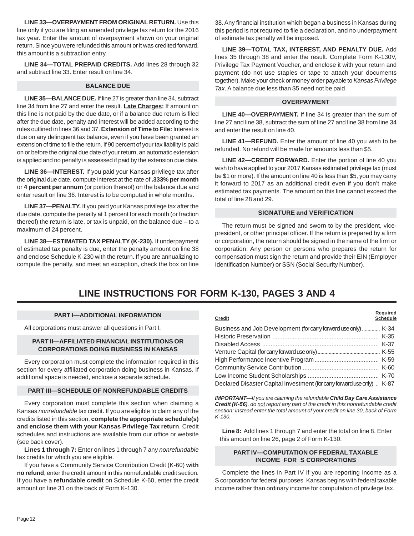#### **LINE 33—OVERPAYMENT FROM ORIGINAL RETURN.** Use this line only if you are filing an amended privilege tax return for the 2016 tax year. Enter the amount of overpayment shown on your original return. Since you were refunded this amount or it was credited forward, this amount is a subtraction entry.

**LINE 34—TOTAL PREPAID CREDITS.** Add lines 28 through 32 and subtract line 33. Enter result on line 34.

#### **BALANCE DUE**

**LINE 35—BALANCE DUE.** If line 27 is greater than line 34, subtract line 34 from line 27 and enter the result. **Late Charges:** If amount on this line is not paid by the due date, or if a balance due return is filed after the due date, penalty and interest will be added according to the rules outlined in lines 36 and 37. **Extension of Time to File:** Interest is due on any delinquent tax balance, even if you have been granted an extension of time to file the return. If 90 percent of your tax liability is paid on or before the original due date of your return, an automatic extension is applied and no penalty is assessed if paid by the extension due date.

**LINE 36—INTEREST.** If you paid your Kansas privilege tax after the original due date, compute interest at the rate of **.333% per month**  or **4 percent per annum** (or portion thereof) on the balance due and enter result on line 36. Interest is to be computed in whole months.

**LINE 37—PENALTY.** If you paid your Kansas privilege tax after the due date, compute the penalty at 1 percent for each month (or fraction thereof) the return is late, or tax is unpaid, on the balance due – to a maximum of 24 percent.

**LINE 38—ESTIMATED TAX PENALTY (K-230).** If underpayment of estimated tax penalty is due, enter the penalty amount on line 38 and enclose Schedule K-230 with the return. If you are annualizing to compute the penalty, and meet an exception, check the box on line

38. Any financial institution which began a business in Kansas during this period is not required to file a declaration, and no underpayment of estimate tax penalty will be imposed.

**LINE 39—TOTAL TAX, INTEREST, AND PENALTY DUE.** Add lines 35 through 38 and enter the result. Complete Form K-130V, Privilege Tax Payment Voucher, and enclose it with your return and payment (do not use staples or tape to attach your documents together). Make your check or money order payable to *Kansas Privilege Tax*. A balance due less than \$5 need not be paid.

#### **OVERPAYMENT**

**LINE 40—OVERPAYMENT.** If line 34 is greater than the sum of line 27 and line 38, subtract the sum of line 27 and line 38 from line 34 and enter the result on line 40.

**LINE 41—REFUND.** Enter the amount of line 40 you wish to be refunded. No refund will be made for amounts less than \$5.

**LINE 42—CREDIT FORWARD.** Enter the portion of line 40 you wish to have applied to your 2017 Kansas estimated privilege tax (must be \$1 or more). If the amount on line 40 is less than \$5, you may carry it forward to 2017 as an additional credit even if you don't make estimated tax payments. The amount on this line cannot exceed the total of line 28 and 29.

#### **SIGNATURE and VERIFICATION**

The return must be signed and sworn to by the president, vicepresident, or other principal officer. If the return is prepared by a firm or corporation, the return should be signed in the name of the firm or corporation. Any person or persons who prepares the return for compensation must sign the return and provide their EIN (Employer Identification Number) or SSN (Social Security Number).

## **LINE INSTRUCTIONS FOR FORM K-130, PAGES 3 AND 4**

#### **PART I—ADDITIONAL INFORMATION**

All corporations must answer all questions in Part I.

#### **PART II—AFFILIATED FINANCIAL INSTITUTIONS OR CORPORATIONS DOING BUSINESS IN KANSAS**

Every corporation must complete the information required in this section for every affiliated corporation doing business in Kansas. If additional space is needed, enclose a separate schedule.

#### **PART III—SCHEDULE OF NONREFUNDABLE CREDITS**

Every corporation must complete this section when claiming a Kansas *nonrefundable* tax credit. If you are eligible to claim any of the credits listed in this section, **complete the appropriate schedule(s) and enclose them with your Kansas Privilege Tax return**. Credit schedules and instructions are available from our office or website (see back cover).

**Lines 1 through 7:** Enter on lines 1 through 7 any *nonrefundable*  tax credits for which you are eligible.

If you have a Community Service Contribution Credit (K-60) **with no refund**, enter the credit amount in this nonrefundable credit section. If you have a **refundable credit** on Schedule K-60, enter the credit amount on line 31 on the back of Form K-130.

| <b>Credit</b>                                                           | Required<br><b>Schedule</b> |
|-------------------------------------------------------------------------|-----------------------------|
| Business and Job Development (for carry forward use only)  K-34         |                             |
|                                                                         |                             |
|                                                                         |                             |
|                                                                         |                             |
|                                                                         |                             |
|                                                                         |                             |
|                                                                         |                             |
| Declared Disaster Capital Investment (for carry forward use only)  K-87 |                             |

*IMPORTANT—If you are claiming the refundable Child Day Care Assistance Credit (K-56), do not report any part of the credit in this nonrefundable credit section; instead enter the total amount of your credit on line 30, back of Form K-130.*

 **Line 8:** Add lines 1 through 7 and enter the total on line 8. Enter this amount on line 26, page 2 of Form K-130.

#### **PART IV—COMPUTATION OF FEDERAL TAXABLE INCOME FOR S CORPORATIONS**

Complete the lines in Part IV if you are reporting income as a S corporation for federal purposes. Kansas begins with federal taxable income rather than ordinary income for computation of privilege tax.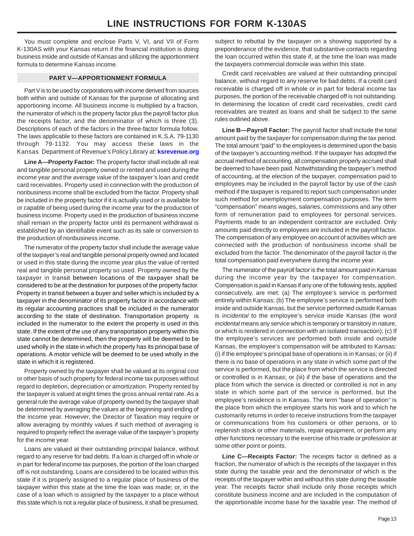You must complete and enclose Parts V, VI, and VII of Form K-130AS with your Kansas return if the financial institution is doing business inside and outside of Kansas and utilizing the apportionment formula to determine Kansas income.

#### **PART V—APPORTIONMENT FORMULA**

Part V is to be used by corporations with income derived from sources both within and outside of Kansas for the purpose of allocating and apportioning income. All business income is multiplied by a fraction, the numerator of which is the property factor plus the payroll factor plus the receipts factor, and the denominator of which is three (3). Descriptions of each of the factors in the three-factor formula follow. The laws applicable to these factors are contained in K.S.A. 79-1130 through 79-1132. You may access these laws in the Kansas Department of Revenue's Policy Library at: **[ksrevenue.org](http://rvpolicy.kdor.ks.gov/Pilots/Ntrntpil/IPILv1x0.NSF/Web.Frameset?OpenFrameSet)**

**Line A—Property Factor:** The property factor shall include all real and tangible personal property owned or rented and used during the income year and the average value of the taxpayer's loan and credit card receivables. Property used in connection with the production of nonbusiness income shall be excluded from the factor. Property shall be included in the property factor if it is actually used or is available for or capable of being used during the income year for the production of business income. Property used in the production of business income shall remain in the property factor until its permanent withdrawal is established by an identifiable event such as its sale or conversion to the production of nonbusiness income.

The numerator of the property factor shall include the average value of the taxpayer's real and tangible personal property owned and located or used in this state during the income year plus the value of rented real and tangible personal property so used. Property owned by the taxpayer in transit between locations of the taxpayer shall be considered to be at the destination for purposes of the property factor. Property in transit between a buyer and seller which is included by a taxpayer in the denominator of its property factor in accordance with its regular accounting practices shall be included in the numerator according to the state of destination. Transportation property is included in the numerator to the extent the property is used in this state. If the extent of the use of any transportation property within this state cannot be determined, then the property will be deemed to be used wholly in the state in which the property has its principal base of operations. A motor vehicle will be deemed to be used wholly in the state in which it is registered.

Property owned by the taxpayer shall be valued at its original cost or other basis of such property for federal income tax purposes without regard to depletion, depreciation or amortization. Property rented by the taxpayer is valued at eight times the gross annual rental rate. As a general rule the average value of property owned by the taxpayer shall be determined by averaging the values at the beginning and ending of the income year. However, the Director of Taxation may require or allow averaging by monthly values if such method of averaging is required to properly reflect the average value of the taxpayer's property for the income year.

Loans are valued at their outstanding principal balance, without regard to any reserve for bad debts. If a loan is charged off in whole or in part for federal income tax purposes, the portion of the loan charged off is not outstanding. Loans are considered to be located within this state if it is properly assigned to a regular place of business of the taxpayer within this state at the time the loan was made; or, in the case of a loan which is assigned by the taxpayer to a place without this state which is not a regular place of business, it shall be presumed,

subject to rebuttal by the taxpayer on a showing supported by a preponderance of the evidence, that substantive contacts regarding the loan occurred within this state if, at the time the loan was made the taxpayers commercial domicile was within this state.

Credit card receivables are valued at their outstanding principal balance, without regard to any reserve for bad debts. If a credit card receivable is charged off in whole or in part for federal income tax purposes, the portion of the receivable charged off is not outstanding. In determining the location of credit card receivables, credit card receivables are treated as loans and shall be subject to the same rules outlined above.

**Line B—Payroll Factor:** The payroll factor shall include the total amount paid by the taxpayer for compensation during the tax period. The total amount "paid" to the employees is determined upon the basis of the taxpayer's accounting method. If the taxpayer has adopted the accrual method of accounting, all compensation properly accrued shall be deemed to have been paid. Notwithstanding the taxpayer's method of accounting, at the election of the taxpayer, compensation paid to employees may be included in the payroll factor by use of the cash method if the taxpayer is required to report such compensation under such method for unemployment compensation purposes. The term "compensation" means wages, salaries, commissions and any other form of remuneration paid to employees for personal services. Payments made to an independent contractor are excluded. Only amounts paid directly to employees are included in the payroll factor. The compensation of any employee on account of activities which are connected with the production of nonbusiness income shall be excluded from the factor. The denominator of the payroll factor is the total compensation paid everywhere during the income year.

The numerator of the payroll factor is the total amount paid in Kansas during the income year by the taxpayer for compensation. Compensation is paid in Kansas if any one of the following tests, applied consecutively, are met: (a) The employee's service is performed entirely within Kansas; (b) The employee's service is performed both inside and outside Kansas, but the service performed outside Kansas is *incidental* to the employee's service inside Kansas (the word *incidental* means any service which is temporary or transitory in nature, or which is rendered in connection with an isolated transaction); (c) If the employee's services are performed both inside and outside Kansas, the employee's compensation will be attributed to Kansas: (i) if the employee's principal base of operations is in Kansas; or (ii) if there is no base of operations in any state in which some part of the service is performed, but the place from which the service is directed or controlled is in Kansas; or (iii) if the base of operations and the place from which the service is directed or controlled is not in any state in which some part of the service is performed, but the employee's residence is in Kansas. The term "base of operation" is the place from which the employee starts his work and to which he customarily returns in order to receive instructions from the taxpayer or communications from his customers or other persons, or to replenish stock or other materials, repair equipment, or perform any other functions necessary to the exercise of his trade or profession at some other point or points.

**Line C—Receipts Factor:** The receipts factor is defined as a fraction, the numerator of which is the receipts of the taxpayer in this state during the taxable year and the denominator of which is the receipts of the taxpayer within and without this state during the taxable year. The receipts factor shall include only those receipts which constitute business income and are included in the computation of the apportionable income base for the taxable year. The method of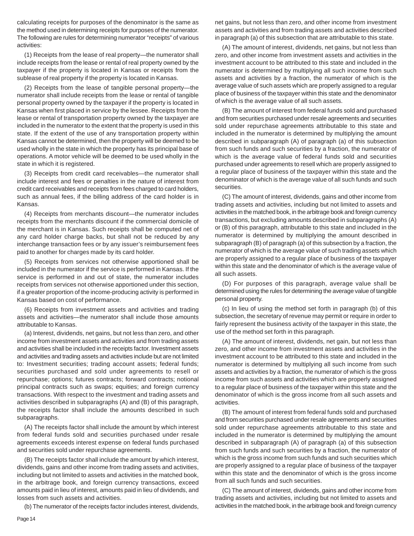calculating receipts for purposes of the denominator is the same as the method used in determining receipts for purposes of the numerator. The following are rules for determining numerator "receipts" of various activities:

(1) Receipts from the lease of real property—the numerator shall include receipts from the lease or rental of real property owned by the taxpayer if the property is located in Kansas or receipts from the sublease of real property if the property is located in Kansas.

(2) Receipts from the lease of tangible personal property—the numerator shall include receipts from the lease or rental of tangible personal property owned by the taxpayer if the property is located in Kansas when first placed in service by the lessee. Receipts from the lease or rental of transportation property owned by the taxpayer are included in the numerator to the extent that the property is used in this state. If the extent of the use of any transportation property within Kansas cannot be determined, then the property will be deemed to be used wholly in the state in which the property has its principal base of operations. A motor vehicle will be deemed to be used wholly in the state in which it is registered.

(3) Receipts from credit card receivables—the numerator shall include interest and fees or penalties in the nature of interest from credit card receivables and receipts from fees charged to card holders, such as annual fees, if the billing address of the card holder is in Kansas.

(4) Receipts from merchants discount—the numerator includes receipts from the merchants discount if the commercial domicile of the merchant is in Kansas. Such receipts shall be computed net of any card holder charge backs, but shall not be reduced by any interchange transaction fees or by any issuer's reimbursement fees paid to another for charges made by its card holder.

(5) Receipts from services not otherwise apportioned shall be included in the numerator if the service is performed in Kansas. If the service is performed in and out of state, the numerator includes receipts from services not otherwise apportioned under this section, if a greater proportion of the income-producing activity is performed in Kansas based on cost of performance.

(6) Receipts from investment assets and activities and trading assets and activities—the numerator shall include those amounts attributable to Kansas.

(a) Interest, dividends, net gains, but not less than zero, and other income from investment assets and activities and from trading assets and activities shall be included in the receipts factor. Investment assets and activities and trading assets and activities include but are not limited to: Investment securities; trading account assets; federal funds; securities purchased and sold under agreements to resell or repurchase; options; futures contracts; forward contracts; notional principal contracts such as swaps; equities; and foreign currency transactions. With respect to the investment and trading assets and activities described in subparagraphs (A) and (B) of this paragraph, the receipts factor shall include the amounts described in such subparagraphs.

(A) The receipts factor shall include the amount by which interest from federal funds sold and securities purchased under resale agreements exceeds interest expense on federal funds purchased and securities sold under repurchase agreements.

(B) The receipts factor shall include the amount by which interest, dividends, gains and other income from trading assets and activities, including but not limited to assets and activities in the matched book, in the arbitrage book, and foreign currency transactions, exceed amounts paid in lieu of interest, amounts paid in lieu of dividends, and losses from such assets and activities.

(b) The numerator of the receipts factor includes interest, dividends,

net gains, but not less than zero, and other income from investment assets and activities and from trading assets and activities described in paragraph (a) of this subsection that are attributable to this state.

(A) The amount of interest, dividends, net gains, but not less than zero, and other income from investment assets and activities in the investment account to be attributed to this state and included in the numerator is determined by multiplying all such income from such assets and activities by a fraction, the numerator of which is the average value of such assets which are properly assigned to a regular place of business of the taxpayer within this state and the denominator of which is the average value of all such assets.

(B) The amount of interest from federal funds sold and purchased and from securities purchased under resale agreements and securities sold under repurchase agreements attributable to this state and included in the numerator is determined by multiplying the amount described in subparagraph (A) of paragraph (a) of this subsection from such funds and such securities by a fraction, the numerator of which is the average value of federal funds sold and securities purchased under agreements to resell which are properly assigned to a regular place of business of the taxpayer within this state and the denominator of which is the average value of all such funds and such securities.

(C) The amount of interest, dividends, gains and other income from trading assets and activities, including but not limited to assets and activities in the matched book, in the arbitrage book and foreign currency transactions, but excluding amounts described in subparagraphs (A) or (B) of this paragraph, attributable to this state and included in the numerator is determined by multiplying the amount described in subparagraph (B) of paragraph (a) of this subsection by a fraction, the numerator of which is the average value of such trading assets which are properly assigned to a regular place of business of the taxpayer within this state and the denominator of which is the average value of all such assets.

(D) For purposes of this paragraph, average value shall be determined using the rules for determining the average value of tangible personal property.

(c) In lieu of using the method set forth in paragraph (b) of this subsection, the secretary of revenue may permit or require in order to fairly represent the business activity of the taxpayer in this state, the use of the method set forth in this paragraph.

(A) The amount of interest, dividends, net gain, but not less than zero, and other income from investment assets and activities in the investment account to be attributed to this state and included in the numerator is determined by multiplying all such income from such assets and activities by a fraction, the numerator of which is the gross income from such assets and activities which are properly assigned to a regular place of business of the taxpayer within this state and the denominator of which is the gross income from all such assets and activities.

(B) The amount of interest from federal funds sold and purchased and from securities purchased under resale agreements and securities sold under repurchase agreements attributable to this state and included in the numerator is determined by multiplying the amount described in subparagraph (A) of paragraph (a) of this subsection from such funds and such securities by a fraction, the numerator of which is the gross income from such funds and such securities which are properly assigned to a regular place of business of the taxpayer within this state and the denominator of which is the gross income from all such funds and such securities.

(C) The amount of interest, dividends, gains and other income from trading assets and activities, including but not limited to assets and activities in the matched book, in the arbitrage book and foreign currency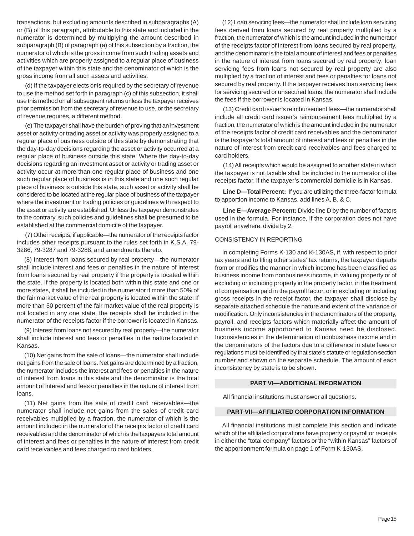transactions, but excluding amounts described in subparagraphs (A) or (B) of this paragraph, attributable to this state and included in the numerator is determined by multiplying the amount described in subparagraph (B) of paragraph (a) of this subsection by a fraction, the numerator of which is the gross income from such trading assets and activities which are properly assigned to a regular place of business of the taxpayer within this state and the denominator of which is the gross income from all such assets and activities.

(d) If the taxpayer elects or is required by the secretary of revenue to use the method set forth in paragraph (c) of this subsection, it shall use this method on all subsequent returns unless the taxpayer receives prior permission from the secretary of revenue to use, or the secretary of revenue requires, a different method.

(e) The taxpayer shall have the burden of proving that an investment asset or activity or trading asset or activity was properly assigned to a regular place of business outside of this state by demonstrating that the day-to-day decisions regarding the asset or activity occurred at a regular place of business outside this state. Where the day-to-day decisions regarding an investment asset or activity or trading asset or activity occur at more than one regular place of business and one such regular place of business is in this state and one such regular place of business is outside this state, such asset or activity shall be considered to be located at the regular place of business of the taxpayer where the investment or trading policies or guidelines with respect to the asset or activity are established. Unless the taxpayer demonstrates to the contrary, such policies and guidelines shall be presumed to be established at the commercial domicile of the taxpayer.

(7) Other receipts, if applicable—the numerator of the receipts factor includes other receipts pursuant to the rules set forth in K.S.A. 79 3286, 79-3287 and 79-3288, and amendments thereto.

(8) Interest from loans secured by real property—the numerator shall include interest and fees or penalties in the nature of interest from loans secured by real property if the property is located within the state. If the property is located both within this state and one or more states, it shall be included in the numerator if more than 50% of the fair market value of the real property is located within the state. If more than 50 percent of the fair market value of the real property is not located in any one state, the receipts shall be included in the numerator of the receipts factor if the borrower is located in Kansas.

(9) Interest from loans not secured by real property—the numerator shall include interest and fees or penalties in the nature located in Kansas.

(10) Net gains from the sale of loans—the numerator shall include net gains from the sale of loans. Net gains are determined by a fraction, the numerator includes the interest and fees or penalties in the nature of interest from loans in this state and the denominator is the total amount of interest and fees or penalties in the nature of interest from loans.

(11) Net gains from the sale of credit card receivables—the numerator shall include net gains from the sales of credit card receivables multiplied by a fraction, the numerator of which is the amount included in the numerator of the receipts factor of credit card receivables and the denominator of which is the taxpayers total amount of interest and fees or penalties in the nature of interest from credit card receivables and fees charged to card holders.

(12) Loan servicing fees—the numerator shall include loan servicing fees derived from loans secured by real property multiplied by a fraction, the numerator of which is the amount included in the numerator of the receipts factor of interest from loans secured by real property, and the denominator is the total amount of interest and fees or penalties in the nature of interest from loans secured by real property; loan servicing fees from loans not secured by real property are also multiplied by a fraction of interest and fees or penalties for loans not secured by real property. If the taxpayer receives loan servicing fees for servicing secured or unsecured loans, the numerator shall include the fees if the borrower is located in Kansas.

(13) Credit card issuer's reimbursement fees—the numerator shall include all credit card issuer's reimbursement fees multiplied by a fraction, the numerator of which is the amount included in the numerator of the receipts factor of credit card receivables and the denominator is the taxpayer's total amount of interest and fees or penalties in the nature of interest from credit card receivables and fees charged to card holders.

(14) All receipts which would be assigned to another state in which the taxpayer is not taxable shall be included in the numerator of the receipts factor, if the taxpayer's commercial domicile is in Kansas.

**Line D—Total Percent:** If you are utilizing the three-factor formula to apportion income to Kansas, add lines A, B, & C.

**Line E—Average Percent:** Divide line D by the number of factors used in the formula. For instance, if the corporation does not have payroll anywhere, divide by 2.

#### CONSISTENCY IN REPORTING

In completing Forms K-130 and K-130AS, if, with respect to prior tax years and to filing other states' tax returns, the taxpayer departs from or modifies the manner in which income has been classified as business income from nonbusiness income, in valuing property or of excluding or including property in the property factor, in the treatment of compensation paid in the payroll factor, or in excluding or including gross receipts in the receipt factor, the taxpayer shall disclose by separate attached schedule the nature and extent of the variance or modification. Only inconsistencies in the denominators of the property, payroll, and receipts factors which materially affect the amount of business income apportioned to Kansas need be disclosed. Inconsistencies in the determination of nonbusiness income and in the denominators of the factors due to a difference in state laws or regulations must be identified by that state's statute or regulation section number and shown on the separate schedule. The amount of each inconsistency by state is to be shown.

#### **PART VI—ADDITIONAL INFORMATION**

All financial institutions must answer all questions.

#### **PART VII—AFFILIATED CORPORATION INFORMATION**

All financial institutions must complete this section and indicate which of the affiliated corporations have property or payroll or receipts in either the "total company" factors or the "within Kansas" factors of the apportionment formula on page 1 of Form K-130AS.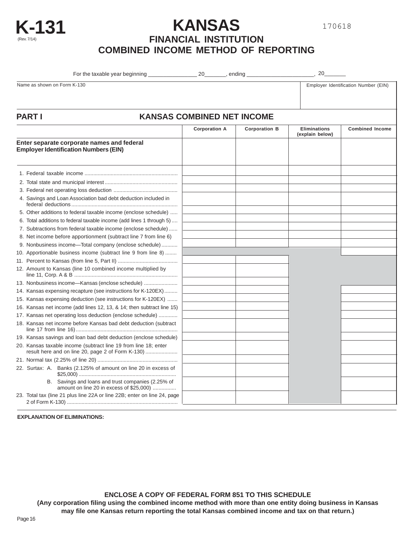



 $\overline{\phantom{a}}$ 

**K-131 KANSAS**

## **FINANCIAL INSTITUTION COMBINED INCOME METHOD OF REPORTING**

| For the taxable vear beginning | ״<br>Andinc | זר |
|--------------------------------|-------------|----|
|                                |             |    |

Name as shown on Form K-130 **Employer Identification Number (EIN)** Employer Identification Number (EIN)

|                                                                                                                      | <b>Corporation A</b> | <b>Corporation B</b> | <b>Eliminations</b><br>(explain below) | <b>Combined Income</b> |
|----------------------------------------------------------------------------------------------------------------------|----------------------|----------------------|----------------------------------------|------------------------|
| Enter separate corporate names and federal<br><b>Employer Identification Numbers (EIN)</b>                           |                      |                      |                                        |                        |
|                                                                                                                      |                      |                      |                                        |                        |
|                                                                                                                      |                      |                      |                                        |                        |
|                                                                                                                      |                      |                      |                                        |                        |
| 4. Savings and Loan Association bad debt deduction included in                                                       |                      |                      |                                        |                        |
| 5. Other additions to federal taxable income (enclose schedule)                                                      |                      |                      |                                        |                        |
| 6. Total additions to federal taxable income (add lines 1 through 5)                                                 |                      |                      |                                        |                        |
| 7. Subtractions from federal taxable income (enclose schedule)                                                       |                      |                      |                                        |                        |
| 8. Net income before apportionment (subtract line 7 from line 6)                                                     |                      |                      |                                        |                        |
| 9. Nonbusiness income-Total company (enclose schedule)                                                               |                      |                      |                                        |                        |
| 10. Apportionable business income (subtract line 9 from line 8)                                                      |                      |                      |                                        |                        |
|                                                                                                                      |                      |                      |                                        |                        |
| 12. Amount to Kansas (line 10 combined income multiplied by                                                          |                      |                      |                                        |                        |
| 13. Nonbusiness income-Kansas (enclose schedule)                                                                     |                      |                      |                                        |                        |
| 14. Kansas expensing recapture (see instructions for K-120EX)                                                        |                      |                      |                                        |                        |
| 15. Kansas expensing deduction (see instructions for K-120EX)                                                        |                      |                      |                                        |                        |
| 16. Kansas net income (add lines 12, 13, & 14; then subtract line 15)                                                |                      |                      |                                        |                        |
| 17. Kansas net operating loss deduction (enclose schedule)                                                           |                      |                      |                                        |                        |
| 18. Kansas net income before Kansas bad debt deduction (subtract                                                     |                      |                      |                                        |                        |
| 19. Kansas savings and loan bad debt deduction (enclose schedule)                                                    |                      |                      |                                        |                        |
| 20. Kansas taxable income (subtract line 19 from line 18; enter<br>result here and on line 20, page 2 of Form K-130) |                      |                      |                                        |                        |
|                                                                                                                      |                      |                      |                                        |                        |
| 22. Surtax: A. Banks (2.125% of amount on line 20 in excess of                                                       |                      |                      |                                        |                        |
| B. Savings and loans and trust companies (2.25% of<br>amount on line 20 in excess of \$25,000)                       |                      |                      |                                        |                        |
| 23. Total tax (line 21 plus line 22A or line 22B; enter on line 24, page                                             |                      |                      |                                        |                        |

**EXPLANATION OF ELIMINATIONS:** 

**ENCLOSE A COPY OF FEDERAL FORM 851 TO THIS SCHEDULE**

**(Any corporation filing using the combined income method with more than one entity doing business in Kansas may file one Kansas return reporting the total Kansas combined income and tax on that return.)**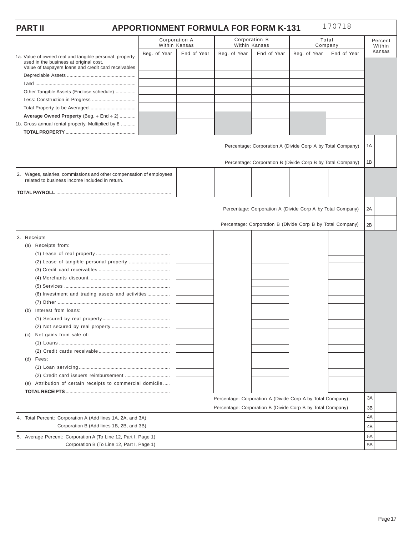#### **PART II APPORTIONMENT FORMULA FOR FORM K-131** 170718

|                                                                                                        | Within Kansas | Corporation A |              | Corporation B<br>Within Kansas                             |              | Total<br>Company | Percent<br>Within |
|--------------------------------------------------------------------------------------------------------|---------------|---------------|--------------|------------------------------------------------------------|--------------|------------------|-------------------|
| 1a. Value of owned real and tangible personal property                                                 | Beg. of Year  | End of Year   | Beg. of Year | End of Year                                                | Beg. of Year | End of Year      | Kansas            |
| used in the business at original cost.                                                                 |               |               |              |                                                            |              |                  |                   |
| Value of taxpayers loans and credit card receivables                                                   |               |               |              |                                                            |              |                  |                   |
|                                                                                                        |               |               |              |                                                            |              |                  |                   |
| Other Tangible Assets (Enclose schedule)                                                               |               |               |              |                                                            |              |                  |                   |
|                                                                                                        |               |               |              |                                                            |              |                  |                   |
|                                                                                                        |               |               |              |                                                            |              |                  |                   |
| Average Owned Property (Beg. + End + 2)                                                                |               |               |              |                                                            |              |                  |                   |
| 1b. Gross annual rental property. Multiplied by 8                                                      |               |               |              |                                                            |              |                  |                   |
|                                                                                                        |               |               |              |                                                            |              |                  |                   |
|                                                                                                        |               |               |              |                                                            |              |                  |                   |
|                                                                                                        |               |               |              | Percentage: Corporation A (Divide Corp A by Total Company) |              |                  | 1A                |
|                                                                                                        |               |               |              |                                                            |              |                  |                   |
|                                                                                                        |               |               |              | Percentage: Corporation B (Divide Corp B by Total Company) |              |                  | 1B                |
| 2. Wages, salaries, commissions and other compensation of employees                                    |               |               |              |                                                            |              |                  |                   |
| related to business income included in return.                                                         |               |               |              |                                                            |              |                  |                   |
|                                                                                                        |               |               |              |                                                            |              |                  |                   |
|                                                                                                        |               |               |              |                                                            |              |                  |                   |
|                                                                                                        |               |               |              | Percentage: Corporation A (Divide Corp A by Total Company) |              |                  | 2A                |
|                                                                                                        |               |               |              |                                                            |              |                  |                   |
|                                                                                                        |               |               |              | Percentage: Corporation B (Divide Corp B by Total Company) |              |                  | 2B                |
| 3. Receipts                                                                                            |               |               |              |                                                            |              |                  |                   |
| (a) Receipts from:                                                                                     |               |               |              |                                                            |              |                  |                   |
|                                                                                                        |               |               |              |                                                            |              |                  |                   |
|                                                                                                        |               |               |              |                                                            |              |                  |                   |
|                                                                                                        |               |               |              |                                                            |              |                  |                   |
|                                                                                                        |               |               |              |                                                            |              |                  |                   |
|                                                                                                        |               |               |              |                                                            |              |                  |                   |
| (6) Investment and trading assets and activities                                                       |               |               |              |                                                            |              |                  |                   |
|                                                                                                        |               |               |              |                                                            |              |                  |                   |
| Interest from loans:<br>(b)                                                                            |               |               |              |                                                            |              |                  |                   |
|                                                                                                        |               |               |              |                                                            |              |                  |                   |
|                                                                                                        |               |               |              |                                                            |              |                  |                   |
| Net gains from sale of:<br>(C)                                                                         |               |               |              |                                                            |              |                  |                   |
|                                                                                                        |               |               |              |                                                            |              |                  |                   |
|                                                                                                        |               |               |              |                                                            |              |                  |                   |
| (d) Fees:                                                                                              |               |               |              |                                                            |              |                  |                   |
|                                                                                                        |               |               |              |                                                            |              |                  |                   |
|                                                                                                        |               |               |              |                                                            |              |                  |                   |
| (e) Attribution of certain receipts to commercial domicile                                             |               |               |              |                                                            |              |                  |                   |
|                                                                                                        |               |               |              | Percentage: Corporation A (Divide Corp A by Total Company) |              |                  | ЗA                |
|                                                                                                        |               |               |              | Percentage: Corporation B (Divide Corp B by Total Company) |              |                  | 3B                |
|                                                                                                        |               |               |              |                                                            |              |                  | 4A                |
| 4. Total Percent: Corporation A (Add lines 1A, 2A, and 3A)<br>Corporation B (Add lines 1B, 2B, and 3B) |               |               |              |                                                            |              |                  |                   |
|                                                                                                        |               |               |              |                                                            |              |                  | 4B                |
| 5. Average Percent: Corporation A (To Line 12, Part I, Page 1)                                         |               |               |              |                                                            | 5A           |                  |                   |
| Corporation B (To Line 12, Part I, Page 1)                                                             |               |               |              |                                                            |              |                  | 5B                |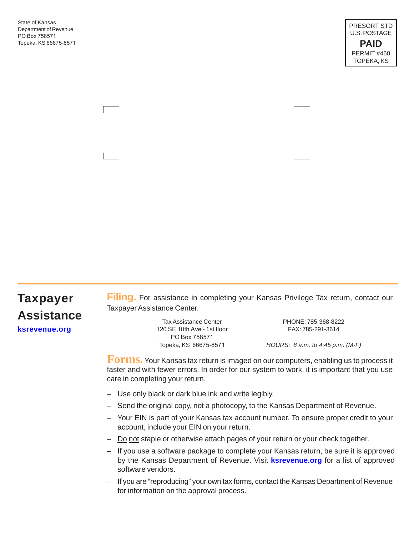State of Kansas Department of Revenue PO Box 758571 Topeka, KS 66675-8571

# **Taxpayer Assistance**

**Filing.** For assistance in completing your Kansas Privilege Tax return, contact our Taxpayer Assistance Center.

**[ksrevenue.org](http://ksrevenue.org/forms-btpriv.html)** extends the section of the 120 SE 10th Ave - 1st floor extends the FAX: 785-291-3614 Tax Assistance Center PO Box 758571

PHONE: 785-368-8222

Topeka, KS 66675-8571 *HOURS: 8 a.m. to 4:45 p.m. (M-F)* 

**Forms.** Your Kansas tax return is imaged on our computers, enabling us to process it faster and with fewer errors. In order for our system to work, it is important that you use care in completing your return.

- Use only black or dark blue ink and write legibly.
- Send the original copy, not a photocopy, to the Kansas Department of Revenue.
- Your EIN is part of your Kansas tax account number. To ensure proper credit to your account, include your EIN on your return.
- Do not staple or otherwise attach pages of your return or your check together.
- If you use a software package to complete your Kansas return, be sure it is approved by the Kansas Department of Revenue. Visit **[ksrevenue.org](http://ksrevenue.org/forms-bustax.html)** for a list of approved software vendors.
- If you are "reproducing" your own tax forms, contact the Kansas Department of Revenue for information on the approval process.